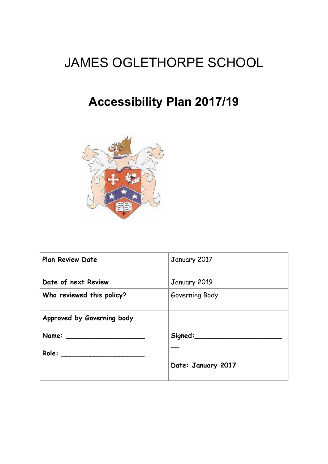# JAMES OGLETHORPE SCHOOL

## **Accessibility Plan 2017/19**



| <b>Plan Review Date</b>    | January 2017       |
|----------------------------|--------------------|
| Date of next Review        | January 2019       |
| Who reviewed this policy?  | Governing Body     |
| Approved by Governing body |                    |
|                            | ${\sf Signed:}\_$  |
|                            |                    |
|                            | Date: January 2017 |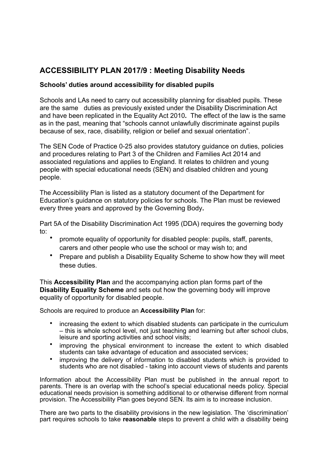### **ACCESSIBILITY PLAN 2017/9 : Meeting Disability Needs**

#### **Schools' duties around accessibility for disabled pupils**

Schools and LAs need to carry out accessibility planning for disabled pupils. These are the same duties as previously existed under the Disability Discrimination Act and have been replicated in the Equality Act 2010**.** The effect of the law is the same as in the past, meaning that "schools cannot unlawfully discriminate against pupils because of sex, race, disability, religion or belief and sexual orientation".

The SEN Code of Practice 0-25 also provides statutory guidance on duties, policies and procedures relating to Part 3 of the Children and Families Act 2014 and associated regulations and applies to England. It relates to children and young people with special educational needs (SEN) and disabled children and young people.

The Accessibility Plan is listed as a statutory document of the Department for Education's guidance on statutory policies for schools. The Plan must be reviewed every three years and approved by the Governing Body**.** 

Part 5A of the Disability Discrimination Act 1995 (DDA) requires the governing body to:

- promote equality of opportunity for disabled people: pupils, staff, parents, carers and other people who use the school or may wish to; and
- Prepare and publish a Disability Equality Scheme to show how they will meet these duties.

This **Accessibility Plan** and the accompanying action plan forms part of the **Disability Equality Scheme** and sets out how the governing body will improve equality of opportunity for disabled people.

Schools are required to produce an **Accessibility Plan** for:

- increasing the extent to which disabled students can participate in the curriculum – this is whole school level, not just teaching and learning but after school clubs, leisure and sporting activities and school visits;
- improving the physical environment to increase the extent to which disabled students can take advantage of education and associated services;
- improving the delivery of information to disabled students which is provided to students who are not disabled - taking into account views of students and parents

Information about the Accessibility Plan must be published in the annual report to parents. There is an overlap with the school's special educational needs policy. Special educational needs provision is something additional to or otherwise different from normal provision. The Accessibility Plan goes beyond SEN. Its aim is to increase inclusion.

There are two parts to the disability provisions in the new legislation. The 'discrimination' part requires schools to take **reasonable** steps to prevent a child with a disability being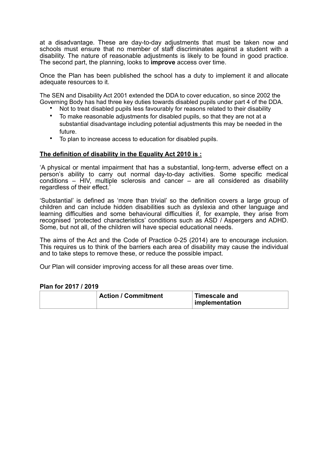at a disadvantage. These are day-to-day adjustments that must be taken now and schools must ensure that no member of staff discriminates against a student with a disability. The nature of reasonable adjustments is likely to be found in good practice. The second part, the planning, looks to **improve** access over time.

Once the Plan has been published the school has a duty to implement it and allocate adequate resources to it.

The SEN and Disability Act 2001 extended the DDA to cover education, so since 2002 the Governing Body has had three key duties towards disabled pupils under part 4 of the DDA.

- Not to treat disabled pupils less favourably for reasons related to their disability
- To make reasonable adjustments for disabled pupils, so that they are not at a substantial disadvantage including potential adjustments this may be needed in the future.
- To plan to increase access to education for disabled pupils.

#### **The definition of disability in the Equality Act 2010 is :**

'A physical or mental impairment that has a substantial, long-term, adverse effect on a person's ability to carry out normal day-to-day activities. Some specific medical conditions – HIV, multiple sclerosis and cancer – are all considered as disability regardless of their effect.'

'Substantial' is defined as 'more than trivial' so the definition covers a large group of children and can include hidden disabilities such as dyslexia and other language and learning difficulties and some behavioural difficulties if, for example, they arise from recognised 'protected characteristics' conditions such as ASD / Aspergers and ADHD. Some, but not all, of the children will have special educational needs.

The aims of the Act and the Code of Practice 0-25 (2014) are to encourage inclusion. This requires us to think of the barriers each area of disability may cause the individual and to take steps to remove these, or reduce the possible impact.

Our Plan will consider improving access for all these areas over time.

#### **Plan for 2017 / 2019**

| <b>Action / Commitment</b> | <b>Timescale and</b><br>implementation |
|----------------------------|----------------------------------------|
|                            |                                        |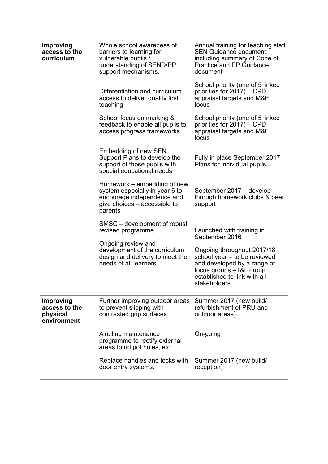| <b>Improving</b><br>access to the<br>curriculum              | Whole school awareness of<br>barriers to learning for<br>vulnerable pupils /<br>understanding of SEND/PP<br>support mechanisms.<br>Differentiation and curriculum<br>access to deliver quality first<br>teaching | Annual training for teaching staff<br><b>SEN Guidance document,</b><br>including summary of Code of<br>Practice and PP Guidance<br>document<br>School priority (one of 5 linked<br>priorities for 2017) - CPD,<br>appraisal targets and M&E<br>focus |
|--------------------------------------------------------------|------------------------------------------------------------------------------------------------------------------------------------------------------------------------------------------------------------------|------------------------------------------------------------------------------------------------------------------------------------------------------------------------------------------------------------------------------------------------------|
|                                                              | School focus on marking &<br>feedback to enable all pupils to<br>access progress frameworks                                                                                                                      | School priority (one of 5 linked<br>priorities for 2017) – CPD,<br>appraisal targets and M&E<br>focus                                                                                                                                                |
|                                                              | <b>Embedding of new SEN</b><br>Support Plans to develop the<br>support of those pupils with<br>special educational needs                                                                                         | Fully in place September 2017<br>Plans for individual pupils                                                                                                                                                                                         |
|                                                              | Homework – embedding of new<br>system especially in year 6 to<br>encourage independence and<br>give choices – accessible to<br>parents                                                                           | September 2017 - develop<br>through homework clubs & peer<br>support                                                                                                                                                                                 |
|                                                              | SMSC – development of robust<br>revised programme<br>Ongoing review and<br>development of the curriculum<br>design and delivery to meet the<br>needs of all learners                                             | Launched with training in<br>September 2016<br>Ongoing throughout 2017/18<br>school year - to be reviewed<br>and developed by a range of<br>focus groups -T&L group<br>established to link with all<br>stakeholders.                                 |
| <b>Improving</b><br>access to the<br>physical<br>environment | Further improving outdoor areas<br>to prevent slipping with<br>contrasted grip surfaces                                                                                                                          | Summer 2017 (new build/<br>refurbishment of PRU and<br>outdoor areas)                                                                                                                                                                                |
|                                                              | A rolling maintenance<br>programme to rectify external<br>areas to rid pot holes, etc.                                                                                                                           | On-going                                                                                                                                                                                                                                             |
|                                                              | Replace handles and locks with<br>door entry systems.                                                                                                                                                            | Summer 2017 (new build/<br>reception)                                                                                                                                                                                                                |